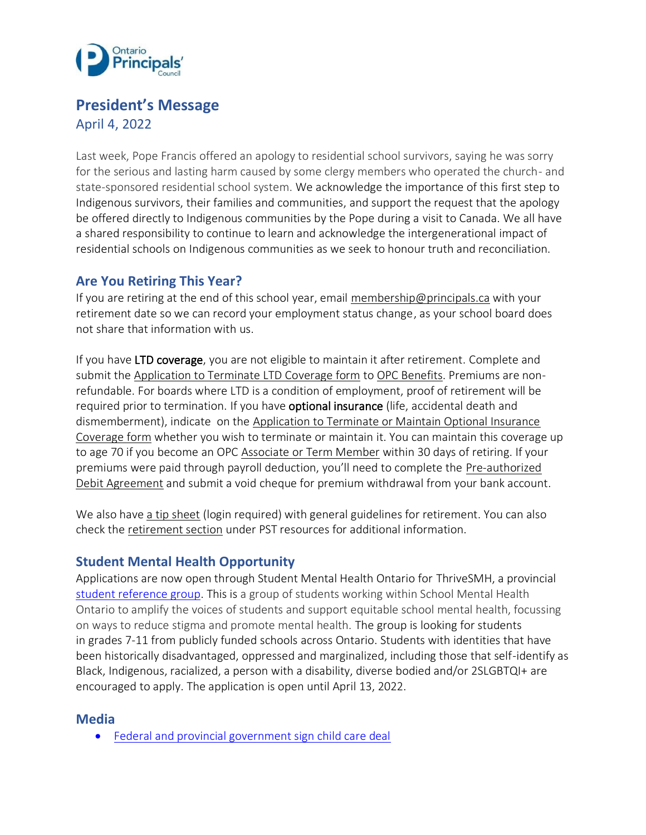

# **President's Message**

April 4, 2022

Last week, Pope Francis offered an apology to residential school survivors, saying he was sorry for the serious and lasting harm caused by some clergy members who operated the church- and state-sponsored residential school system. We acknowledge the importance of this first step to Indigenous survivors, their families and communities, and support the request that the apology be offered directly to Indigenous communities by the Pope during a visit to Canada. We all have a shared responsibility to continue to learn and acknowledge the intergenerational impact of residential schools on Indigenous communities as we seek to honour truth and reconciliation.

## **Are You Retiring This Year?**

If you are retiring at the end of this school year, email [membership@principals.ca](mailto:membership@principals.ca) with your retirement date so we can record your employment status change, as your school board does not share that information with us.

If you have LTD coverage, you are not eligible to maintain it after retirement. Complete and submit th[e Application to Terminate LTD Coverage form](https://www.principals.ca/en/membership/resources/Documents/OPCBenefitsTerminateLTD.pdf) to [OPC Benefits.](mailto:opcbenefits@principals.ca) Premiums are nonrefundable. For boards where LTD is a condition of employment, proof of retirement will be required prior to termination. If you have **optional insurance** (life, accidental death and dismemberment), indicate on the [Application to Terminate or Maintain Optional Insurance](https://www.principals.ca/en/membership/resources/Documents/OPCBenefitsTerminateOptional.pdf)  [Coverage form](https://www.principals.ca/en/membership/resources/Documents/OPCBenefitsTerminateOptional.pdf) whether you wish to terminate or maintain it. You can maintain this coverage up to age 70 if you become an OPC [Associate](https://www.principals.ca/en/membership/resources/Documents/Assoc_Term_Application.pdf) or Term Member within 30 days of retiring. If your premiums were paid through payroll deduction, you'll need to complete the [Pre-authorized](https://www.principals.ca/en/membership/resources/Documents/OPCPre-AuthorizedDebit.pdf)  [Debit Agreement](https://www.principals.ca/en/membership/resources/Documents/OPCPre-AuthorizedDebit.pdf) and submit a void cheque for premium withdrawal from your bank account.

We also have [a tip sheet](https://www.principals.ca/en/protective-services/guidelines-for-retirement.aspx) (login required) with general guidelines for retirement. You can also check the [retirement section](https://www.principals.ca/en/protective-services/pst-resources.aspx) under PST resources for additional information.

### **Student Mental Health Opportunity**

Applications are now open through Student Mental Health Ontario for ThriveSMH, a provincial [student reference group.](https://smho-smso.ca/jointhrivesmh/) This is a group of students working within School Mental Health Ontario to amplify the voices of students and support equitable school mental health, focussing on ways to reduce stigma and promote mental health. The group is looking for students in grades 7-11 from publicly funded schools across Ontario. Students with identities that have been historically disadvantaged, oppressed and marginalized, including those that self-identify as Black, Indigenous, racialized, a person with a disability, diverse bodied and/or 2SLGBTQI+ are encouraged to apply. The application is open until April 13, 2022.

### **Media**

• [Federal and provincial government sign child care deal](https://www.cp24.com/news/ontario-and-feds-ink-10-a-day-child-care-deal-here-is-what-parents-need-to-know-1.5837257?cache=%2F7.333820)